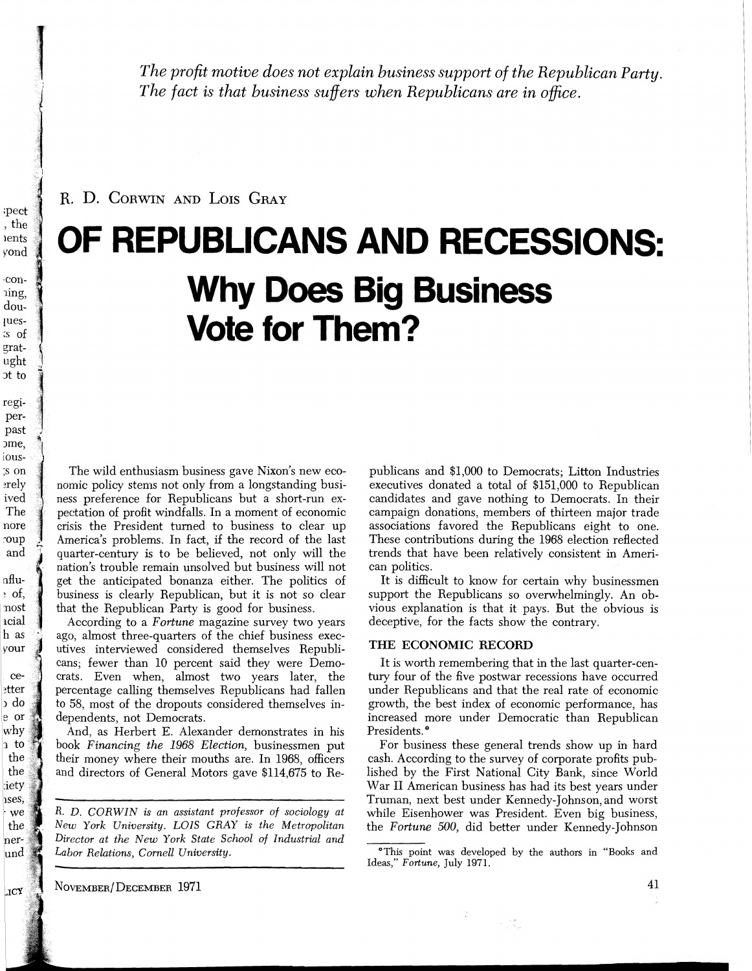*The profit motive does not explain business support of the Republican Party. The fact is that business suffers when Republicans are in ofice.* 

R. D. CORWIN AND LOIS GRAY

# **OF REPUBLICANS AND RECESSIONS: Why Does Big Business Vote for Them?**

The wild enthusiasm business gave Nixon's new economic policy stems not only from a longstanding business preference for Republicans but a short-run expectation of profit windfalls. In a moment of economic crisis the President turned to business to clear up America's problems. In fact, if the record of the last quarter-century is to be believed, not only will the nation's trouble remain unsolved but business will not get the anticipated bonanza either. The politics of business is clearly Republican, but it is not so clear that the Republican Party is good for business.

According to a *Fortune* magazine survey two years ago, almost three-quarters of the chief business executives interviewed considered themselves Republicans, fewer than 10 percent said they were Democrats. Even when, almost two years later, the percentage calling themselves Republicans had fallen to 58, most of the dropouts considered themselves independents, not Democrats.

And, as Herbert E. Alexander demonstrates in his book *Financing the* 1968 *Election,* businessmen put their money where their mouths are. In 1968, officers and directors of General Motors gave \$114,675 to Re-

*R. D. CORWIN is an assistant professor of sociology at New York University. LOIS GRAY is the Metropolitan Director at the New York State School of Industrial and Labor Relations, Cornell University.* 

publicans and \$1,000 to Democrats; Litton Industries executives donated a total of \$151,000 to Republican candidates and gave nothing to Democrats. In their campaign donations, members of thirteen major trade associations favored the Republicans eight to one. These contributions during the 1968 election reflected trends that have been relatively consistent in American politics.

It is difficult to know for certain why businessmen support the Republicans so overwhelmingly. An obvious explanation is that it pays. But the obvious is deceptive, for the facts show the contrary.

### **THE ECONOMIC RECORD**

It is worth remembering that in the last quarter-century four of the five postwar recessions have occurred under Republicans and that the real rate of economic growth, the best index of economic performance, has increased more under Democratic than Republican Presidents. \*

For business these general trends show up in hard cash. According to the survey of corporate profits published by the First National City Bank, since World War I1 American business has had its best years under Truman, next best under Kennedy-Johnson, and worst while Eisenhower was President. Even big business, the *Fortune* 500, did better under Kennedy-Johnson

in Bi

NOVEMBER/DECEMBER 1971

<sup>&</sup>quot;This point was developed by the authors in "Books and Ideas," *Fortune,* July 1971.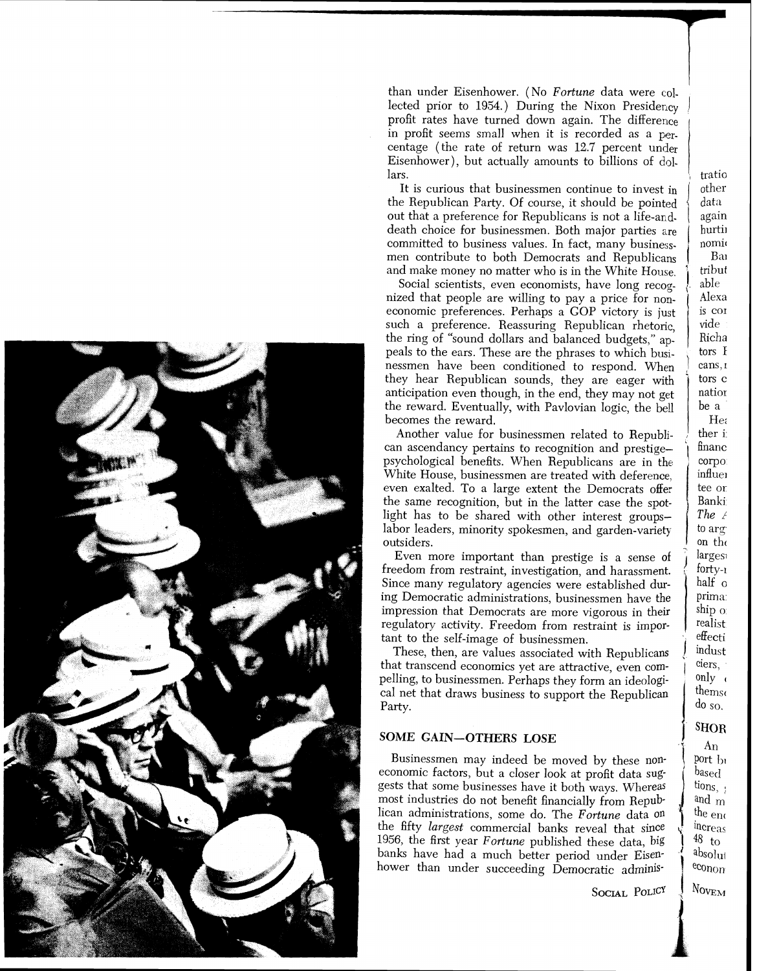

, than under Eisenhower. (No *Fortune* data were col. lected prior to  $1954$ .) During the Nixon Presidency profit rates have turned down again. The difference in profit seems small when it is recorded as a percentage (the rate of return was 12.7 percent under Eisenhower), but actually amounts to billions of dolars.

It is curious that businessmen continue to invest in the Republican Party. Of course, it should be pointed out that a preference for Republicans is not a life-anddeath choice for businessmen. Both major parties are committed to business values. In fact, many businessmen contribute to both Democrats and Republicans and make money no matter who is in the White House.

the ring of "sound dollars and balanced budgets," appeals to the ears. These are the phrases to which businessmen have been conditioned to respond. When they hear Republican sounds, they are eager with . anticipation even though, in the end, they may not get the reward. Eventually, with Pavlovian logic, the bell becomes the reward. Social scientists, even economists, have long recognized that people are willing to pay a price for noneconomic preferences. Perhaps a GOP victory is just such a preference. Reassuring Republican rhetoric

Another value for businessmen related to Republi-<br>can ascendancy pertains to recognition and prestigepsychological benefits. When Republicans are in the White House, businessmen are treated with deference, even exalted. To a large extent the Democrats offer the same recognition, but in the latter case the spotlight has to be shared with other interest groupslabor leaders, minority spokesmen, and garden-variety outsiders.

Even more important than prestige is a sense of freedom from restraint, investigation, and harassment. Since many regulatory agencies were established during Democratic administrations, businessmen have the impression that Democrats are more vigorous in their regulatory activity. Freedom from restraint is important to the self-image of businessmen.

These, then, are values associated with Republicans that transcend economics yet are attractive, even compelling, to businessmen. Perhaps they form an ideological net that draws business to support the Republican Party.

### **SOME GAIN-OTHERS LOSE**

Businessmen may indeed be moved by these non-<br>economic factors, but a closer look at profit data suggests that some businesses have it both ways. Whereas most industries do not benefit financially from Republican administrations, some do. The *Fortune* data on banks have had a much better period under Eisenthe fifty largest commercial banks reveal that since 1956, the first year *Fortune* published these data, big hower than under succeeding Democratic adminis-

SOCIAL POLICY